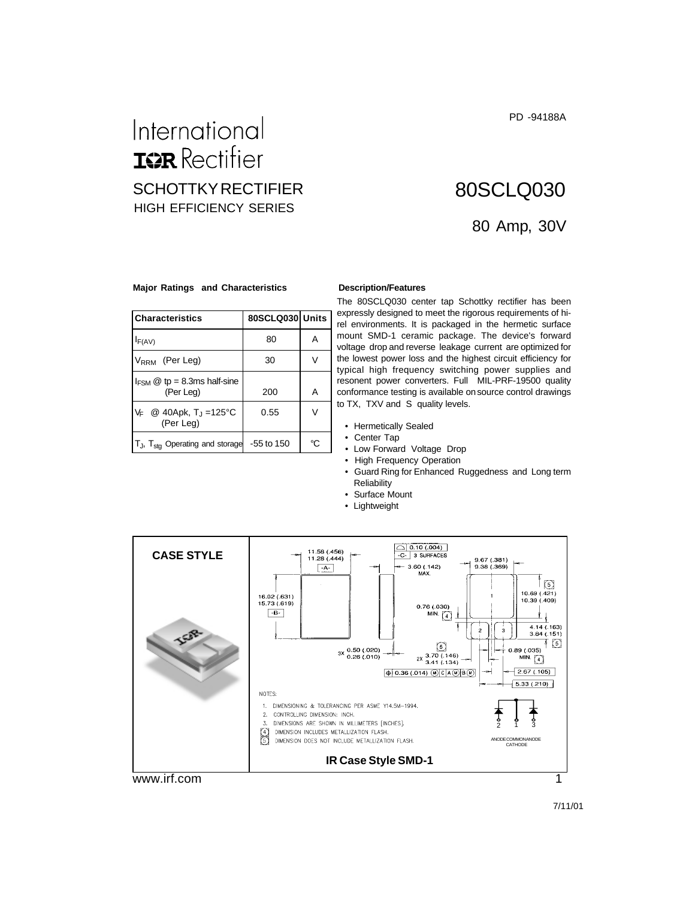PD -94188A

## International **IGR** Rectifier SCHOTTKY RECTIFIER HIGH EFFICIENCY SERIES

# 80 Amp, 30V 80SCLQ030

#### **Major Ratings and Characteristics Description/Features**

| Characteristics                                            | 80SCLQ030 Units |    |
|------------------------------------------------------------|-----------------|----|
| $I_{F(AV)}$                                                | 80              | А  |
| $V_{RRM}$ (Per Leg)                                        | 30              |    |
| $I_{FSM}$ @ tp = 8.3ms half-sine<br>(Per Leg)              | 200             | А  |
| @ 40Apk, T <sub>J</sub> =125°C<br>V⊧<br>(Per Leg)          | 0.55            |    |
| $ T_J$ , $T_{\text{stg}}$ Operating and storage -55 to 150 |                 | °C |

The 80SCLQ030 center tap Schottky rectifier has been expressly designed to meet the rigorous requirements of hirel environments. It is packaged in the hermetic surface mount SMD-1 ceramic package. The device's forward voltage drop and reverse leakage current are optimized for the lowest power loss and the highest circuit efficiency for typical high frequency switching power supplies and resonent power converters. Full MIL-PRF-19500 quality conformance testing is available on source control drawings to TX, TXV and S quality levels.

- Hermetically Sealed
- Center Tap
- Low Forward Voltage Drop
- High Frequency Operation
- Guard Ring for Enhanced Ruggedness and Long term **Reliability**
- Surface Mount
- Lightweight

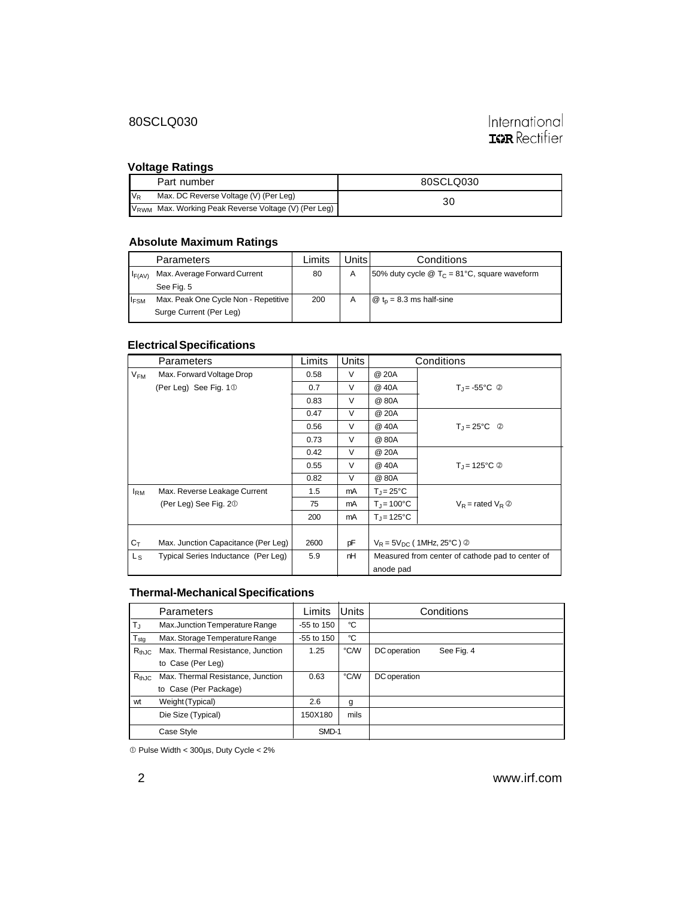#### 80SCLQ030

# International<br>**IGR** Rectifier

#### **Voltage Ratings**

|         | Part number                                                      | 80SCLQ030 |
|---------|------------------------------------------------------------------|-----------|
| $V_{R}$ | Max. DC Reverse Voltage (V) (Per Leg)                            | 30        |
|         | V <sub>RWM</sub> Max. Working Peak Reverse Voltage (V) (Per Leg) |           |

#### **Absolute Maximum Ratings**

|                         | Parameters                           | ∟imits | Jnits⊥ | Conditions                                                  |
|-------------------------|--------------------------------------|--------|--------|-------------------------------------------------------------|
| $I_{F(AV)}$             | Max. Average Forward Current         | 80     | A      | 50% duty cycle $\omega T_c = 81^{\circ}$ C, square waveform |
|                         | See Fig. 5                           |        |        |                                                             |
| <b>I</b> <sub>FSM</sub> | Max. Peak One Cycle Non - Repetitive | 200    | A      | $\omega$ t <sub>n</sub> = 8.3 ms half-sine                  |
|                         | Surge Current (Per Leg)              |        |        |                                                             |

#### **Electrical Specifications**

|                 | Parameters                          | Limits | <b>Units</b> |                                                  | Conditions                             |
|-----------------|-------------------------------------|--------|--------------|--------------------------------------------------|----------------------------------------|
| $V_{FM}$        | Max. Forward Voltage Drop           | 0.58   | $\vee$       | @ 20A                                            |                                        |
|                 | (Per Leg) See Fig. 10               | 0.7    | V            | @ 40A                                            | $T_{\rm J}$ = -55°C $\circledcirc$     |
|                 |                                     | 0.83   | V            | @ 80A                                            |                                        |
|                 |                                     | 0.47   | V            | @ 20A                                            |                                        |
|                 |                                     | 0.56   | V            | @ 40A                                            | $T_{\rm J} = 25^{\circ}C$ <sup>②</sup> |
|                 |                                     | 0.73   | $\vee$       | @ 80A                                            |                                        |
|                 |                                     | 0.42   | $\vee$       | @ 20A                                            |                                        |
|                 |                                     | 0.55   | $\vee$       | @ 40A                                            | $T_{\rm d}$ = 125°C $\circledcirc$     |
|                 |                                     | 0.82   | $\vee$       | @ 80A                                            |                                        |
| l <sub>RM</sub> | Max. Reverse Leakage Current        | 1.5    | mA           | $T_i = 25^{\circ}C$                              |                                        |
|                 | (Per Leg) See Fig. 20               | 75     | mA           | $T_{\rm J} = 100^{\circ}$ C                      | $V_R$ = rated $V_R$ $\circledcirc$     |
|                 |                                     | 200    | mA           | $T_{\rm J}$ = 125°C                              |                                        |
|                 |                                     |        |              |                                                  |                                        |
| $C_T$           | Max. Junction Capacitance (Per Leg) | 2600   | pF           | $V_R = 5V_{DC}$ (1MHz, 25°C) $\oslash$           |                                        |
| $L_{S}$         | Typical Series Inductance (Per Leg) | 5.9    | nH           | Measured from center of cathode pad to center of |                                        |
|                 |                                     |        |              | anode pad                                        |                                        |

#### **Thermal-Mechanical Specifications**

|               | <b>Parameters</b>                 | Limits       | Units | Conditions                 |
|---------------|-----------------------------------|--------------|-------|----------------------------|
| $T_{\rm J}$   | Max.Junction Temperature Range    | $-55$ to 150 | °C    |                            |
| $T_{\sf stq}$ | Max. Storage Temperature Range    | $-55$ to 150 | °C    |                            |
| $R_{thJC}$    | Max. Thermal Resistance, Junction | 1.25         | °C/W  | DC operation<br>See Fig. 4 |
|               | to Case (Per Leg)                 |              |       |                            |
| $R_{thJC}$    | Max. Thermal Resistance, Junction | 0.63         | °C/W  | DC operation               |
|               | to Case (Per Package)             |              |       |                            |
| wt            | Weight (Typical)                  | 2.6          | g     |                            |
|               | Die Size (Typical)                | 150X180      | mils  |                            |
|               | Case Style                        | SMD-1        |       |                            |

Pulse Width < 300µs, Duty Cycle < 2%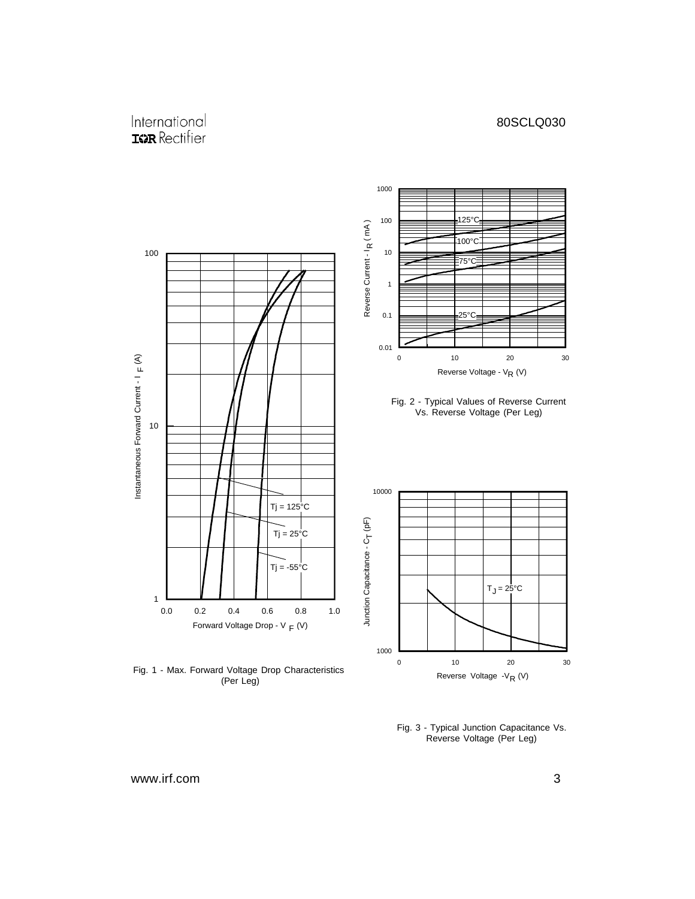#### International **ISPR** Rectifier



Fig. 1 - Max. Forward Voltage Drop Characteristics (Per Leg)



Reverse Voltage - $V_R$  (V)

www.irf.com 3